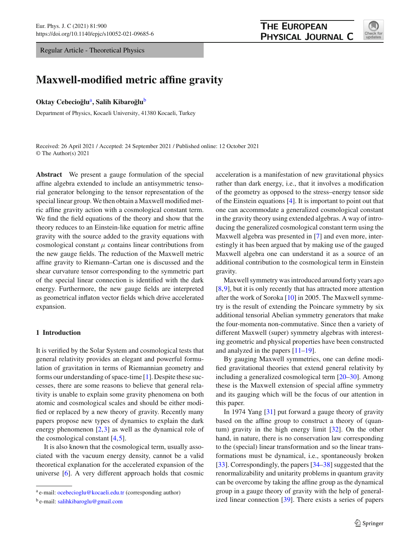Regular Article - Theoretical Physics

# **THE EUROPEAN** PHYSICAL JOURNAL C



# **Maxwell-modified metric affine gravity**

#### **Oktay Cebecioğlu<sup>a</sup>, Salih Kibaroğlu<sup>b</sup>**

Department of Physics, Kocaeli University, 41380 Kocaeli, Turkey

Received: 26 April 2021 / Accepted: 24 September 2021 / Published online: 12 October 2021 © The Author(s) 2021

**Abstract** We present a gauge formulation of the special affine algebra extended to include an antisymmetric tensorial generator belonging to the tensor representation of the special linear group. We then obtain a Maxwell modified metric affine gravity action with a cosmological constant term. We find the field equations of the theory and show that the theory reduces to an Einstein-like equation for metric affine gravity with the source added to the gravity equations with cosmological constant  $\mu$  contains linear contributions from the new gauge fields. The reduction of the Maxwell metric affine gravity to Riemann–Cartan one is discussed and the shear curvature tensor corresponding to the symmetric part of the special linear connection is identified with the dark energy. Furthermore, the new gauge fields are interpreted as geometrical inflaton vector fields which drive accelerated expansion.

### **1 Introduction**

It is verified by the Solar System and cosmological tests that general relativity provides an elegant and powerful formulation of gravitation in terms of Riemannian geometry and forms our understanding of space-time [\[1](#page-5-0)]. Despite these successes, there are some reasons to believe that general relativity is unable to explain some gravity phenomena on both atomic and cosmological scales and should be either modified or replaced by a new theory of gravity. Recently many papers propose new types of dynamics to explain the dark energy phenomenon [\[2](#page-5-1)[,3](#page-5-2)] as well as the dynamical role of the cosmological constant [\[4](#page-5-3),[5\]](#page-5-4).

It is also known that the cosmological term, usually associated with the vacuum energy density, cannot be a valid theoretical explanation for the accelerated expansion of the universe [\[6\]](#page-5-5). A very different approach holds that cosmic acceleration is a manifestation of new gravitational physics rather than dark energy, i.e., that it involves a modification of the geometry as opposed to the stress–energy tensor side of the Einstein equations [\[4\]](#page-5-3). It is important to point out that one can accommodate a generalized cosmological constant in the gravity theory using extended algebras. A way of introducing the generalized cosmological constant term using the Maxwell algebra was presented in [\[7](#page-5-6)] and even more, interestingly it has been argued that by making use of the gauged Maxwell algebra one can understand it as a source of an additional contribution to the cosmological term in Einstein gravity.

Maxwell symmetry was introduced around forty years ago [\[8](#page-5-7),[9\]](#page-5-8), but it is only recently that has attracted more attention after the work of Soroka [\[10](#page-5-9)] in 2005. The Maxwell symmetry is the result of extending the Poincare symmetry by six additional tensorial Abelian symmetry generators that make the four-momenta non-commutative. Since then a variety of different Maxwell (super) symmetry algebras with interesting geometric and physical properties have been constructed and analyzed in the papers [\[11](#page-5-10)[–19\]](#page-6-0).

By gauging Maxwell symmetries, one can define modified gravitational theories that extend general relativity by including a generalized cosmological term [\[20](#page-6-1)[–30](#page-6-2)]. Among these is the Maxwell extension of special affine symmetry and its gauging which will be the focus of our attention in this paper.

In 1974 Yang [\[31\]](#page-6-3) put forward a gauge theory of gravity based on the affine group to construct a theory of (quantum) gravity in the high energy limit [\[32](#page-6-4)]. On the other hand, in nature, there is no conservation law corresponding to the (special) linear transformation and so the linear transformations must be dynamical, i.e., spontaneously broken [\[33](#page-6-5)]. Correspondingly, the papers [\[34](#page-6-6)[–38](#page-6-7)] suggested that the renormalizability and unitarity problems in quantum gravity can be overcome by taking the affine group as the dynamical group in a gauge theory of gravity with the help of generalized linear connection [\[39](#page-6-8)]. There exists a series of papers

<sup>a</sup> e-mail: [ocebecioglu@kocaeli.edu.tr](mailto:ocebecioglu@kocaeli.edu.tr) (corresponding author)

<sup>b</sup> e-mail: [salihkibaroglu@gmail.com](mailto:salihkibaroglu@gmail.com)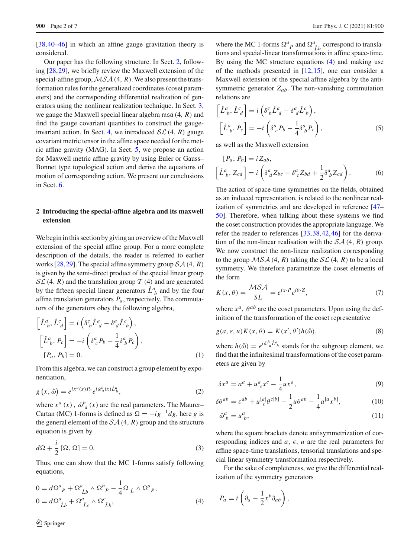[\[38](#page-6-7),[40](#page-6-9)[–46](#page-6-10)] in which an affine gauge gravitation theory is considered.

Our paper has the following structure. In Sect. [2,](#page-1-0) following [\[28,](#page-6-11)[29\]](#page-6-12), we briefly review the Maxwell extension of the special-affine group,*MSA* (4, *R*). We also present the transformation rules for the generalized coordinates (coset parameters) and the corresponding differential realization of generators using the nonlinear realization technique. In Sect. [3,](#page-2-0) we gauge the Maxwell special linear algebra msa (4, *R*) and find the gauge covariant quantities to construct the gauge-invariant action. In Sect. [4,](#page-3-0) we introduced  $SL(4, R)$  gauge covariant metric tensor in the affine space needed for the metric affine gravity (MAG). In Sect. [5,](#page-3-1) we propose an action for Maxwell metric affine gravity by using Euler or Gauss– Bonnet type topological action and derive the equations of motion of corresponding action. We present our conclusions in Sect. [6.](#page-5-11)

## <span id="page-1-0"></span>**2 Introducing the special-affine algebra and its maxwell extension**

We begin in this section by giving an overview of the Maxwell extension of the special affine group. For a more complete description of the details, the reader is referred to earlier works [\[28](#page-6-11),[29](#page-6-12)]. The special affine symmetry group *SA* (4, *R*) is given by the semi-direct product of the special linear group  $SL(4, R)$  and the translation group  $T(4)$  and are generated by the fifteen special linear generators  $\hat{L}_{b}^{a}$  and by the four affine translation generators *Pa*, respectively. The commutators of the generators obey the following algebra,

$$
\begin{aligned}\n\left[\hat{L}^a{}_b, \hat{L}^c{}_d\right] &= i\left(\delta^c{}_b \hat{L}^a{}_d - \delta^a{}_d \hat{L}^c{}_b\right), \\
\left[\hat{L}^a{}_b, P_c\right] &= -i\left(\delta^a{}_c P_b - \frac{1}{4} \delta^a{}_b P_c\right), \\
\left[P_a, P_b\right] &= 0.\n\end{aligned} \tag{1}
$$

From this algebra, we can construct a group element by exponentiation,

$$
g\left(x,\stackrel{\circ}{\omega}\right) = e^{ix^a(x)P_a}e^{i\stackrel{\circ}{\omega}_a^b(x)\stackrel{\circ}{L}^a_b},\tag{2}
$$

where  $x^a(x)$ ,  $\stackrel{\circ}{\omega}$   $\stackrel{b}{a}(x)$  are the real parameters. The Maurer– Cartan (MC) 1-forms is defined as  $\Omega = -ig^{-1}dg$ , here *g* is the general element of the  $\mathcal{SA}(4, R)$  group and the structure equation is given by

$$
d\Omega + \frac{i}{2} [\Omega, \Omega] = 0.
$$
 (3)

Thus, one can show that the MC 1-forms satisfy following equations,

<span id="page-1-1"></span>
$$
0 = d\Omega^{a}{}_{P} + \Omega^{a}{}_{\hat{L}b} \wedge \Omega^{b}{}_{P} - \frac{1}{4}\Omega_{\hat{L}} \wedge \Omega^{a}{}_{P},
$$
  

$$
0 = d\Omega^{a}{}_{\hat{L}b} + \Omega^{a}{}_{\hat{L}c} \wedge \Omega^{c}{}_{\hat{L}b},
$$
 (4)

where the MC 1-forms  $\Omega^a{}_p$  and  $\Omega^a{}_{\hat{L}b}$  correspond to translations and special-linear transformations in affine space-time. By using the MC structure equations [\(4\)](#page-1-1) and making use of the methods presented in [\[12](#page-5-12),[15\]](#page-6-13), one can consider a Maxwell extension of the special affine algebra by the antisymmetric generator  $Z_{ab}$ . The non-vanishing commutation relations are

<span id="page-1-2"></span>
$$
\begin{aligned}\n\left[\hat{L}^a{}_b, \hat{L}^c{}_d\right] &= i\left(\delta^c{}_b \hat{L}^a{}_d - \delta^a{}_d \hat{L}^c{}_b\right), \\
\left[\hat{L}^a{}_b, P_c\right] &= -i\left(\delta^a{}_c P_b - \frac{1}{4} \delta^a{}_b P_c\right),\n\end{aligned} \tag{5}
$$

as well as the Maxwell extension

<span id="page-1-3"></span>
$$
[P_a, P_b] = iZ_{ab},
$$
  

$$
\left[\hat{L}_b^a, Z_{cd}\right] = i\left(\delta_d^a Z_{bc} - \delta_c^a Z_{bd} + \frac{1}{2}\delta_b^a Z_{cd}\right).
$$
 (6)

The action of space-time symmetries on the fields, obtained as an induced representation, is related to the nonlinear realization of symmetries and are developed in reference [\[47](#page-6-14)– [50](#page-6-15)]. Therefore, when talking about these systems we find the coset construction provides the appropriate language. We refer the reader to references [\[33](#page-6-5)[,38](#page-6-7),[42,](#page-6-16)[46\]](#page-6-10) for the derivation of the non-linear realisation with the  $\mathcal{SA}(4, R)$  group. We now construct the non-linear realization corresponding to the group  $MSA(4, R)$  taking the  $SL(4, R)$  to be a local symmetry. We therefore parametrize the coset elements of the form

$$
K(x,\theta) = \frac{\mathcal{MSA}}{\mathcal{SL}} = e^{ix \cdot P} e^{i\theta \cdot Z},\tag{7}
$$

where  $x^a$ ,  $\theta^{ab}$  are the coset parameters. Upon using the definition of the transformation of the coset representative

$$
g(a, \varepsilon, u)K(x, \theta) = K(x', \theta')h(\mathring{\omega}),
$$
\n(8)

where  $h(\hat{\omega}) = e^{i\hat{\omega}^b a \hat{L}^a}$  stands for the subgroup element, we find that the infinitesimal transformations of the coset parameters are given by

$$
\delta x^a = a^a + u^a{}_c x^c - \frac{1}{4} u x^a,\tag{9}
$$

$$
\delta\theta^{ab} = \varepsilon^{ab} + u_c^{[a]}\theta^{c[b]} - \frac{1}{2}u\theta^{ab} - \frac{1}{4}a^{[a}x^{b]},\tag{10}
$$

$$
\mathring{\omega}_b^a = u_b^a,\tag{11}
$$

where the square brackets denote antisymmetrization of corresponding indices and  $a, \epsilon, u$  are the real parameters for affine space-time translations, tensorial translations and special linear symmetry transformation respectively.

For the sake of completeness, we give the differential realization of the symmetry generators

$$
P_a = i \left( \partial_a - \frac{1}{2} x^b \partial_{ab} \right),
$$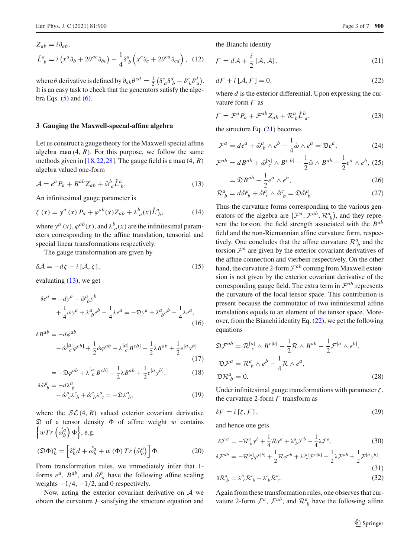$$
Z_{ab} = i \partial_{ab},
$$
  

$$
\mathring{L}^a_{\ b} = i \left( x^a \partial_b + 2 \theta^{ac} \partial_{bc} \right) - \frac{1}{4} \delta^a_{\ b} \left( x^c \partial_c + 2 \theta^{cd} \partial_{cd} \right), \tag{12}
$$

where  $\theta$  derivative is defined by  $\partial_{ab}\theta^{cd} = \frac{1}{2} \left( \delta^c_{\ a} \delta^d_{\ b} - \delta^c_{\ b} \delta^d_{\ a} \right)$ . It is an easy task to check that the generators satisfy the algebra Eqs.  $(5)$  and  $(6)$ .

#### <span id="page-2-0"></span>**3 Gauging the Maxwell-specıal-affine algebra**

Let us construct a gauge theory for the Maxwell special affine algebra msa  $(4, R)$ . For this purpose, we follow the same methods given in [\[18,](#page-6-17)[22,](#page-6-18)[28\]](#page-6-11). The gauge field is a msa (4, *R*) algebra valued one-form

<span id="page-2-1"></span>
$$
\mathcal{A} = e^a P_a + B^{ab} Z_{ab} + \mathring{\omega}_a^b \mathring{L}_b^a.
$$
 (13)

An infinitesimal gauge parameter is

$$
\zeta(x) = y^a(x) P_a + \varphi^{ab}(x) Z_{ab} + \lambda^b_{\ a}(x) \mathring{L}^a_{\ b}, \tag{14}
$$

where  $y^a(x)$ ,  $\varphi^{ab}(x)$ , and  $\lambda^b_a(x)$  are the infinitesimal parameters corresponding to the affine translation, tensorial and special linear transformations respectively.

The gauge transformation are given by

$$
\delta \mathcal{A} = -d\zeta - i \left[ \mathcal{A}, \zeta \right],\tag{15}
$$

evaluating [\(13\)](#page-2-1), we get

$$
\delta e^a = -dy^a - \mathring{\omega}^a_{\ b} y^b
$$
  
+  $\frac{1}{4} \mathring{\omega} y^a + \lambda^a_{\ b} e^b - \frac{1}{4} \lambda e^a = -\mathfrak{D} y^a + \lambda^a_{\ b} e^b - \frac{1}{4} \lambda e^a,$  (16)

 $δB<sup>ab</sup> = -dω<sup>ab</sup>$ 

$$
- \mathring{\omega}^{[a]}_{c} \varphi^{cb} + \frac{1}{2} \mathring{\omega} \varphi^{ab} + \lambda^{[a]}_{c} B^{cb} - \frac{1}{2} \lambda B^{ab} + \frac{1}{2} e^{[a} y^{b]} \tag{17}
$$

$$
= -\mathfrak{D}\varphi^{ab} + \lambda_c^{[a]}B^{cb]} - \frac{1}{2}\lambda B^{ab} + \frac{1}{2}e^{[a}y^{b]},
$$
 (18)

$$
\delta \mathring{\omega}_{b}^{a} = -d\lambda_{b}^{a}
$$
  

$$
- \mathring{\omega}_{c}^{a} \lambda_{b}^{c} + \mathring{\omega}_{b}^{c} \lambda_{c}^{a} = -\mathfrak{D} \lambda_{b}^{a}, \qquad (19)
$$

where the  $SL(4, R)$  valued exterior covariant derivative  $\mathfrak D$  of a tensor density  $\Phi$  of affine weight w contains  $\left\{ wTr\left(\overset{\circ}{\omega}^a_b\right)\Phi\right\}$ , e.g.

$$
\left(\mathfrak{D}\Phi\right)^{a}_{b} = \left[\delta^{a}_{b}d + \overset{\circ}{\omega}^{a}_{b} + w\left(\Phi\right)Tr\left(\overset{\circ}{\omega}^{a}_{b}\right)\right]\Phi. \tag{20}
$$

From transformation rules, we immediately infer that 1 forms  $e^a$ ,  $B^{ab}$ , and  $\phi^b_a$  have the following affine scaling weights  $-1/4$ ,  $-1/2$ , and 0 respectively.

Now, acting the exterior covariant derivative on *A* we obtain the curvature  $F$  satisfying the structure equation and

the Bianchi identity

<span id="page-2-2"></span>
$$
F = d\mathcal{A} + \frac{i}{2} [\mathcal{A}, \mathcal{A}], \tag{21}
$$

<span id="page-2-3"></span>
$$
dF + i [A, F] = 0,
$$
\n<sup>(22)</sup>

where *d* is the exterior differential. Upon expressing the curvature form  $\digamma$  as

$$
F = \mathcal{F}^a P_a + \mathcal{F}^{ab} Z_{ab} + \mathcal{R}_b^a \mathring{L}_a^b,
$$
\n(23)

the structure Eq. [\(21\)](#page-2-2) becomes

$$
\mathcal{F}^a = de^a + \mathring{\omega}_b^a \wedge e^b - \frac{1}{4} \mathring{\omega} \wedge e^a = \mathfrak{D} e^a, \tag{24}
$$

$$
\mathcal{F}^{ab} = dB^{ab} + \mathring{\omega}_{c}^{[a]} \wedge B^{c[b]} - \frac{1}{2} \mathring{\omega} \wedge B^{ab} - \frac{1}{2} e^{a} \wedge e^{b}, (25)
$$

$$
= \mathfrak{D}B^{ab} - \frac{1}{2}e^a \wedge e^b, \tag{26}
$$

$$
\mathcal{R}_b^a = d\mathring{\omega}_b^a + \mathring{\omega}_c^a \wedge \mathring{\omega}_b^c = \mathfrak{D}\mathring{\omega}_b^a.
$$
 (27)

Thus the curvature forms corresponding to the various generators of the algebra are  $(\mathcal{F}^a, \mathcal{F}^{ab}, \mathcal{R}^a, )$ , and they represent the torsion, the field strength associated with the *Bab* field and the non-Riemannian affine curvature form, respectively. One concludes that the affine curvature  $\mathcal{R}^a_{\;b}$  and the torsion  $\mathcal{F}^a$  are given by the exterior covariant derivatives of the affine connection and vierbein respectively. On the other hand, the curvature 2-form *<sup>F</sup>ab* coming from Maxwell extension is not given by the exterior covariant derivative of the corresponding gauge field. The extra term in  $\mathcal{F}^{ab}$  represents the curvature of the local tensor space. This contribution is present because the commutator of two infinitesimal affine translations equals to an element of the tensor space. Moreover, from the Bianchi identity Eq. [\(22\)](#page-2-3), we get the following equations

<span id="page-2-4"></span>
$$
\mathfrak{D}\mathcal{F}^{ab} = \mathcal{R}^{[a]}_{c} \wedge B^{c[b]} - \frac{1}{2}\mathcal{R} \wedge B^{ab} - \frac{1}{2}\mathcal{F}^{[a} \wedge e^{b]},
$$
  

$$
\mathfrak{D}\mathcal{F}^{a} = \mathcal{R}^{a}_{b} \wedge e^{b} - \frac{1}{4}\mathcal{R} \wedge e^{a},
$$
  

$$
\mathfrak{D}\mathcal{R}^{a}_{b} = 0.
$$
 (28)

Under infinitesimal gauge transformations with parameter  $\zeta$ , the curvature 2-form  $F$  transform as

$$
\delta F = i [\zeta, F], \tag{29}
$$

and hence one gets

<span id="page-2-5"></span>
$$
\delta \mathcal{F}^a = -\mathcal{R}_b^a y^b + \frac{1}{4} \mathcal{R} y^a + \lambda_b^a \mathcal{F}^b - \frac{1}{4} \lambda \mathcal{F}^a, \tag{30}
$$

$$
\delta \mathcal{F}^{ab} = -\mathcal{R}^{[a]}_{c} \varphi^{c[b]} + \frac{1}{2} \mathcal{R} \varphi^{ab} + \lambda^{[a]}_{c} \mathcal{F}^{c[b]} - \frac{1}{2} \lambda \mathcal{F}^{ab} + \frac{1}{2} \mathcal{F}^{[a} y^{b]},
$$
\n(31)

$$
\delta \mathcal{R}_b^a = \lambda_c^a \mathcal{R}_b^c - \lambda_b^c \mathcal{R}_c^a. \tag{32}
$$

Again from these transformation rules, one observes that curvature 2-form  $\mathcal{F}^a$ ,  $\mathcal{F}^{ab}$ , and  $\mathcal{R}^a$  have the following affine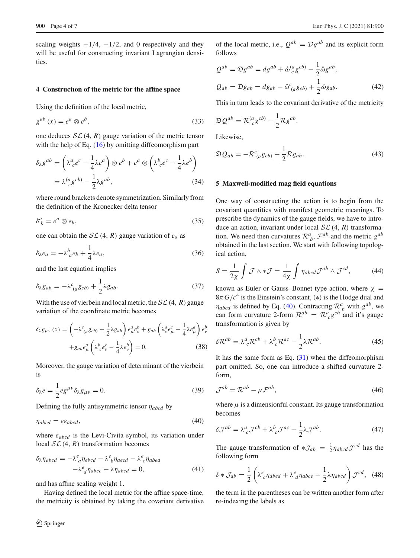scaling weights  $-1/4$ ,  $-1/2$ , and 0 respectively and they will be useful for constructing invariant Lagrangian densities.

#### <span id="page-3-0"></span>**4 Constructıon of the metric for the affine space**

Using the definition of the local metric,

$$
g^{ab}(x) = e^a \otimes e^b,\tag{33}
$$

one deduces  $\mathcal{SL}(4, R)$  gauge variation of the metric tensor with the help of Eq.  $(16)$  by omitting diffeomorphism part

$$
\delta_{\lambda} g^{ab} = \left(\lambda^{a}_{ c} e^{c} - \frac{1}{4} \lambda e^{a}\right) \otimes e^{b} + e^{a} \otimes \left(\lambda^{b}_{ c} e^{c} - \frac{1}{4} \lambda e^{b}\right)
$$

$$
= \lambda^{(a}_{ c} g^{c b)} - \frac{1}{2} \lambda g^{ab}, \tag{34}
$$

where round brackets denote symmetrization. Similarly from the definition of the Kronecker delta tensor

$$
\delta^a_{\ b} = e^a \otimes e_b,\tag{35}
$$

one can obtain the  $SL(4, R)$  gauge variation of  $e_a$  as

$$
\delta_{\lambda} e_a = -\lambda_a^b e_b + \frac{1}{4} \lambda e_a, \qquad (36)
$$

and the last equation implies

$$
\delta_{\lambda}g_{ab} = -\lambda^{c}_{\ (a}g_{cb)} + \frac{1}{2}\lambda g_{ab}.\tag{37}
$$

With the use of vierbein and local metric, the  $SL(4, R)$  gauge variation of the coordinate metric becomes

$$
\delta_{\lambda} g_{\mu\nu}(x) = \left( -\lambda^{c}{}_{(a}g_{cb)} + \frac{1}{2}\lambda g_{ab} \right) e^{a}_{\mu} e^{b}_{\nu} + g_{ab} \left( \lambda^{a}_{c} e^{c}_{\mu} - \frac{1}{4}\lambda e^{a}_{\mu} \right) e^{b}_{\nu}
$$

$$
+ g_{ab} e^{a}_{\mu} \left( \lambda^{b}{}_{c} e^{c}_{\nu} - \frac{1}{4}\lambda e^{b}_{\nu} \right) = 0. \tag{38}
$$

Moreover, the gauge variation of determinant of the vierbein is

$$
\delta_{\lambda}e = \frac{1}{2}eg^{\mu\nu}\delta_{\lambda}g_{\mu\nu} = 0.
$$
 (39)

Defining the fully antisymmetric tensor η*abcd* by

<span id="page-3-2"></span>
$$
\eta_{abcd} = e \varepsilon_{abcd},\tag{40}
$$

where ε*abcd* is the Levi-Civita symbol, its variation under local  $SL(4, R)$  transformation becomes

$$
\delta_{\lambda} \eta_{abcd} = -\lambda_{a}^{e} \eta_{ebcd} - \lambda_{b}^{e} \eta_{aecd} - \lambda_{c}^{e} \eta_{abed}
$$

$$
-\lambda_{d}^{e} \eta_{abce} + \lambda \eta_{abcd} = 0,
$$
(41)

and has affine scaling weight 1.

Having defined the local metric for the affine space-time, the metricity is obtained by taking the covariant derivative of the local metric, i.e.,  $Q^{ab} = Dg^{ab}$  and its explicit form follows

$$
Q^{ab} = \mathfrak{D}g^{ab} = dg^{ab} + \mathring{\omega}^{(a}_{c}g^{cb)} - \frac{1}{2}\mathring{\omega}g^{ab},
$$
  
\n
$$
Q_{ab} = \mathfrak{D}g_{ab} = dg_{ab} - \mathring{\omega}^{c}_{(a}g_{cb)} + \frac{1}{2}\mathring{\omega}g_{ab}.
$$
\n(42)

This in turn leads to the covariant derivative of the metricity

$$
\mathfrak{D} \mathcal{Q}^{ab} = \mathcal{R}_{c}^{(a} g^{cb)} - \frac{1}{2} \mathcal{R} g^{ab}.
$$

Likewise,

$$
\mathfrak{D}Q_{ab} = -\mathcal{R}_{(a}^c g_{cb)} + \frac{1}{2}\mathcal{R}g_{ab}.
$$
\n(43)

#### <span id="page-3-1"></span>**5 Maxwell-modified mag field equations**

One way of constructing the action is to begin from the covariant quantities with manifest geometric meanings. To prescribe the dynamics of the gauge fields, we have to introduce an action, invariant under local  $SL(4, R)$  transformation. We need then curvatures  $\mathcal{R}^a_{\ b}$ ,  $\mathcal{F}^{ab}$  and the metric  $g^{ab}$ obtained in the last section. We start with following topological action,

<span id="page-3-4"></span>
$$
S = \frac{1}{2\chi} \int \mathcal{J} \wedge * \mathcal{J} = \frac{1}{4\chi} \int \eta_{abcd} \mathcal{J}^{ab} \wedge \mathcal{J}^{cd}, \tag{44}
$$

known as Euler or Gauss–Bonnet type action, where  $\chi$  =  $8\pi G/c^4$  is the Einstein's constant, (\*) is the Hodge dual and  $\eta_{abcd}$  is defined by Eq. [\(40\)](#page-3-2). Contracting  $\mathcal{R}^a_b$  with  $g^{ab}$ , we can form curvature 2-form  $\mathcal{R}^{ab} = \mathcal{R}^a_{c} g^{cb}$  and it's gauge transformation is given by

$$
\delta \mathcal{R}^{ab} = \lambda^a{}_c \mathcal{R}^{cb} + \lambda^b{}_c \mathcal{R}^{ac} - \frac{1}{2} \lambda \mathcal{R}^{ab}.
$$
 (45)

It has the same form as Eq.  $(31)$  when the diffeomorphism part omitted. So, one can introduce a shifted curvature 2 form,

$$
\mathcal{J}^{ab} = \mathcal{R}^{ab} - \mu \mathcal{F}^{ab},\tag{46}
$$

where  $\mu$  is a dimensionful constant. Its gauge transformation becomes

<span id="page-3-3"></span>
$$
\delta \mathcal{J}^{ab} = \lambda^a_{\ c} \mathcal{J}^{cb} + \lambda^b_{\ c} \mathcal{J}^{ac} - \frac{1}{2} \lambda \mathcal{J}^{ab}.\tag{47}
$$

The gauge transformation of  $*\mathcal{J}_{ab} = \frac{1}{2} \eta_{abcd} \mathcal{J}^{cd}$  has the following form

$$
\delta * \mathcal{J}_{ab} = \frac{1}{2} \left( \lambda^e_{\ c} \eta_{abcd} + \lambda^e_{\ d} \eta_{abce} - \frac{1}{2} \lambda \eta_{abcd} \right) \mathcal{J}^{cd}, \tag{48}
$$

the term in the parentheses can be written another form after re-indexing the labels as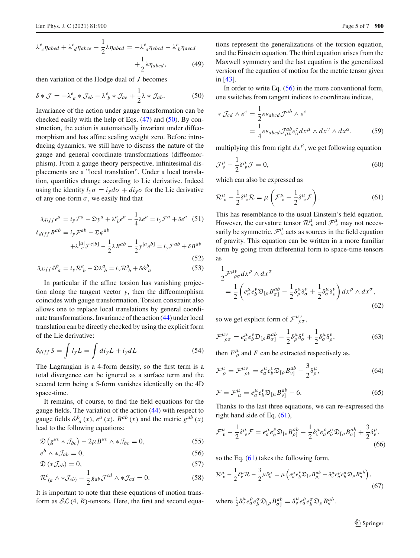$$
\lambda^{e}_{c}\eta_{abcd} + \lambda^{e}_{d}\eta_{abce} - \frac{1}{2}\lambda\eta_{abcd} = -\lambda^{e}_{a}\eta_{ebcd} - \lambda^{e}_{b}\eta_{aecd} + \frac{1}{2}\lambda\eta_{abcd},
$$
\n(49)

then variation of the Hodge dual of *J* becomes

<span id="page-4-0"></span>
$$
\delta * \mathcal{J} = -\lambda^e{}_a * \mathcal{J}_{eb} - \lambda^e{}_b * \mathcal{J}_{ae} + \frac{1}{2}\lambda * \mathcal{J}_{ab}.
$$
 (50)

Invariance of the action under gauge transformation can be checked easily with the help of Eqs.  $(47)$  and  $(50)$ . By construction, the action is automatically invariant under diffeomorphism and has affine scaling weight zero. Before introducing dynamics, we still have to discuss the nature of the gauge and general coordinate transformations (diffeomorphism). From a gauge theory perspective, infinitesimal displacements are a "local translation". Under a local translation, quantities change according to Lie derivative. Indeed using the identity  $l_y \sigma = i_y d\sigma + d i_y \sigma$  for the Lie derivative of any one-form  $\sigma$ , we easily find that

$$
\delta_{diff}e^a = i_y \mathcal{F}^a - \mathfrak{D}y^a + \lambda^a_{\ b}e^b - \frac{1}{4}\lambda e^a = i_y \mathcal{F}^a + \delta e^a \quad (51)
$$

$$
\delta_{diff} B^{ab} = i_y \mathcal{F}^{ab} - \mathfrak{D}\varphi^{ab}
$$

$$
+ \lambda \frac{[a]}{c} \mathcal{F}^{c[b]} - \frac{1}{2} \lambda B^{ab} - \frac{1}{2} y^{[a} e^{b]} = i_y \mathcal{F}^{ab} + \delta B^{ab}
$$
(52)

$$
\delta_{diff} \mathring{\omega}_a^b = i_y \mathcal{R}_b^a - \mathfrak{D} \lambda_b^a = i_y \mathcal{R}_b^a + \delta \mathring{\omega}_a^b
$$
\n(53)

In particular if the affine torsion has vanishing projection along the tangent vector *y*, then the diffeomorphism coincides with gauge transformation. Torsion constraint also allows one to replace local translations by general coordinate transformations. Invariance of the action [\(44\)](#page-3-4) under local translation can be directly checked by using the explicit form of the Lie derivative:

$$
\delta_{diff} S = \int l_y L = \int d i_y L + i_y dL \tag{54}
$$

The Lagrangian is a 4-form density, so the first term is a total divergence can be ignored as a surface term and the second term being a 5-form vanishes identically on the 4D space-time.

It remains, of course, to find the field equations for the gauge fields. The variation of the action [\(44\)](#page-3-4) with respect to gauge fields  $\phi_a^b(x)$ ,  $e^a(x)$ ,  $B^{ab}(x)$  and the metric  $g^{ab}(x)$ lead to the following equations:

<span id="page-4-1"></span>
$$
\mathfrak{D}\left(g^{ac} * \mathcal{J}_{bc}\right) - 2\mu B^{ac} \wedge * \mathcal{J}_{bc} = 0,\tag{55}
$$

$$
e^b \wedge * \mathcal{J}_{ab} = 0,\tag{56}
$$

$$
\mathfrak{D}\left(*\mathcal{J}_{ab}\right) = 0,\tag{57}
$$

$$
\mathcal{R}_{(a}^{c} \wedge * \mathcal{J}_{cb)} - \frac{1}{2} g_{ab} \mathcal{J}^{cd} \wedge * \mathcal{J}_{cd} = 0.
$$
 (58)

It is important to note that these equations of motion transform as  $SL(4, R)$ -tensors. Here, the first and second equations represent the generalizations of the torsion equation, and the Einstein equation. The third equation arises from the Maxwell symmetry and the last equation is the generalized version of the equation of motion for the metric tensor given in [\[43\]](#page-6-19).

In order to write Eq.  $(56)$  in the more conventional form, one switches from tangent indices to coordinate indices,

$$
* \mathcal{J}_{cd} \wedge e^c = \frac{1}{2} e \varepsilon_{abcd} \mathcal{J}^{ab} \wedge e^c
$$
  
= 
$$
\frac{1}{4} e \varepsilon_{abcd} \mathcal{J}^{ab}_{\mu\nu} e^c_a dx^\mu \wedge dx^\nu \wedge dx^\alpha,
$$
 (59)

multiplying this from right  $dx^{\beta}$ , we get following equation

$$
\mathcal{J}^{\mu}_{\nu} - \frac{1}{2} \delta^{\mu}_{\nu} \mathcal{J} = 0, \tag{60}
$$

which can also be expressed as

<span id="page-4-2"></span>
$$
\mathcal{R}^{\mu}_{\ \nu} - \frac{1}{2} \delta^{\mu}_{\ \nu} \mathcal{R} = \mu \left( \mathcal{F}^{\mu}_{\ \nu} - \frac{1}{2} \delta^{\mu}_{\ \nu} \mathcal{F} \right). \tag{61}
$$

This has resemblance to the usual Einstein's field equation. However, the curvature tensor  $\mathcal{R}^{\mu}_{\ \nu}$  and  $\mathcal{F}^{\mu}_{\ \nu}$  may not necessarily be symmetric.  $\mathcal{F}^{\mu}_{\nu}$  acts as sources in the field equation of gravity. This equation can be written in a more familiar form by going from differential form to space-time tensors as

$$
\frac{1}{2}\mathcal{F}^{\mu\nu}_{\rho\sigma}dx^{\rho}\wedge dx^{\sigma} \n= \frac{1}{2}\left(e^{\mu}_{a}e^{\nu}_{b}\mathfrak{D}_{[\rho}B^{\alpha b}_{\sigma]} - \frac{1}{2}\delta^{\mu}_{\rho}\delta^{\nu}_{\sigma} + \frac{1}{2}\delta^{\mu}_{\sigma}\delta^{\nu}_{\rho}\right)dx^{\rho}\wedge dx^{\sigma},
$$
\n(62)

so we get explicit form of  $\mathcal{F}^{\mu\nu}_{\rho\sigma}$ ,

$$
\mathcal{F}^{\mu\nu}_{\ \rho\sigma} = e^{\mu}_{a} e^{\nu}_{b} \mathfrak{D}_{\left[\rho \right.} B^{\,ab}_{\sigma\left.\right]} - \frac{1}{2} \delta^{\mu}_{\rho} \delta^{\nu}_{\sigma} + \frac{1}{2} \delta^{\mu}_{\sigma} \delta^{\nu}_{\rho},\tag{63}
$$

then  $F^{\mu}_{\rho}$  and *F* can be extracted respectively as,

$$
\mathcal{F}^{\mu}_{\rho} = \mathcal{F}^{\mu\nu}_{\rho\nu} = e^{\mu}_{a} e^{\nu}_{b} \mathfrak{D}_{\left[\rho} B^{ab}_{\nu\right]} - \frac{3}{2} \delta^{\mu}_{\rho},\tag{64}
$$

$$
\mathcal{F} = \mathcal{F}^{\mu}_{\mu} = e^{\mu}_{a} e^{\nu}_{b} \mathfrak{D}_{\left[\mu} B^{ab}_{\nu\right]} - 6. \tag{65}
$$

Thanks to the last three equations, we can re-expressed the right hand side of Eq. [\(61\)](#page-4-2),

$$
\mathcal{F}^{\mu}_{\nu} - \frac{1}{2} \delta^{\mu}_{\nu} \mathcal{F} = e^{\mu}_{a} e^{\rho}_{b} \mathfrak{D}_{\left[\nu \right.} B^{\,ab}_{\rho\right]} - \frac{1}{2} \delta^{\mu}_{\nu} e^{\rho}_{a} e^{\sigma}_{b} \mathfrak{D}_{\left[\rho \right.} B^{\,ab}_{\sigma\right]} + \frac{3}{2} \delta^{\mu}_{\nu},\tag{66}
$$

so the Eq.  $(61)$  takes the following form,

<span id="page-4-3"></span>
$$
\mathcal{R}^{\mu}_{\ \nu} - \frac{1}{2} \delta^{\mu}_{\nu} \mathcal{R} - \frac{3}{2} \mu \delta^{\mu}_{\nu} = \mu \left( e^{\mu}_{a} e^{\rho}_{b} \mathfrak{D}_{[\nu} B^{\alpha b}_{\rho]} - \delta^{\mu}_{\nu} e^{\rho}_{a} e^{\sigma}_{b} \mathfrak{D}_{\rho} B^{\alpha b}_{\sigma} \right),
$$
\n(67)

where  $\frac{1}{2} \delta^{\mu}_{\nu} e^{\rho}_{a} e^{\sigma}_{b} \mathfrak{D}_{[\rho} B^{ab}_{\sigma]} = \delta^{\mu}_{\nu} e^{\rho}_{a} e^{\sigma}_{b} \mathfrak{D}_{\rho} B^{ab}_{\sigma}.$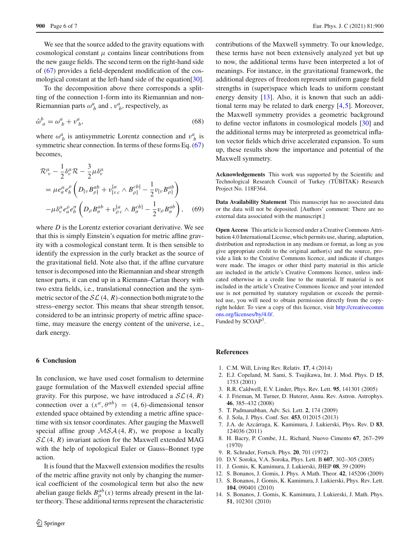We see that the source added to the gravity equations with cosmological constant  $\mu$  contains linear contributions from the new gauge fields. The second term on the right-hand side of [\(67\)](#page-4-3) provides a field-dependent modification of the cos-mological constant at the left-hand side of the equation [\[30](#page-6-2)].

To the decomposition above there corresponds a splitting of the connection 1-form into its Riemannian and non-Riemannian parts  $\omega_b^a$  and ,  $v_b^a$ , respectively, as

$$
\mathring{\omega}_a^b = \omega_b^a + v_b^a,\tag{68}
$$

where  $\omega_b^a$  is antisymmetric Lorentz connection and  $v_b^a$  is symmetric shear connection. In terms of these forms Eq. [\(67\)](#page-4-3) becomes,

$$
\mathcal{R}^{\mu}_{\ \nu} - \frac{1}{2} \delta^{\mu}_{\nu} \mathcal{R} - \frac{3}{2} \mu \delta^{\mu}_{\nu} \n= \mu e^{\mu}_{a} e^{\rho}_{b} \left( D_{\left[ \nu} B^{\alpha b}_{\rho \right]} + v_{\left[ \nu c \right]}^{[a} \wedge B^{\alpha b]}_{\rho \right]} - \frac{1}{2} v_{\left[ \nu B^{\alpha b}_{\rho \right]} \right) \n- \mu \delta^{\mu}_{\nu} e^{\rho}_{a} e^{\sigma}_{b} \left( D_{\rho} B^{\alpha b}_{\sigma} + v_{\rho c}^{[a} \wedge B^{\alpha b]}_{\sigma} - \frac{1}{2} v_{\rho} B^{\alpha b}_{\sigma} \right), \quad (69)
$$

where *D* is the Lorentz exterior covariant derivative. We see that this is simply Einstein's equation for metric affine gravity with a cosmological constant term. It is then sensible to identify the expression in the curly bracket as the source of the gravitational field. Note also that, if the affine curvature tensor is decomposed into the Riemannian and shear strength tensor parts, it can end up in a Riemann–Cartan theory with two extra fields, i.e., translational connection and the symmetric sector of the  $SL(4, R)$ -connection both migrate to the stress–energy sector. This means that shear strength tensor, considered to be an intrinsic property of metric affine spacetime, may measure the energy content of the universe, i.e., dark energy.

#### <span id="page-5-11"></span>**6 Conclusion**

In conclusion, we have used coset formalism to determine gauge formulation of the Maxwell extended special affine gravity. For this purpose, we have introduced a  $SL(4, R)$ connection over a  $(x^a, \theta^{ab}) = (4, 6)$ -dimensional tensor extended space obtained by extending a metric affine spacetime with six tensor coordinates. After gauging the Maxwell special affine group  $MSA(4, R)$ , we propose a locally *SL*(4, *R*) invariant action for the Maxwell extended MAG with the help of topological Euler or Gauss–Bonnet type action.

It is found that the Maxwell extension modifies the results of the metric affine gravity not only by changing the numerical coefficient of the cosmological term but also the new abelian gauge fields  $B_{\mu}^{ab}(x)$  terms already present in the latter theory. These additional terms represent the characteristic contributions of the Maxwell symmetry. To our knowledge, these terms have not been extensively analyzed yet but up to now, the additional terms have been interpreted a lot of meanings. For instance, in the gravitational framework, the additional degrees of freedom represent uniform gauge field strengths in (super)space which leads to uniform constant energy density [\[13](#page-5-13)]. Also, it is known that such an additional term may be related to dark energy [\[4](#page-5-3)[,5](#page-5-4)]. Moreover, the Maxwell symmetry provides a geometric background to define vector inflatons in cosmological models [\[30](#page-6-2)] and the additional terms may be interpreted as geometrical inflaton vector fields which drive accelerated expansion. To sum up, these results show the importance and potential of the Maxwell symmetry.

**Acknowledgements** This work was supported by the Scientific and Technological Research Council of Turkey (TÜBİTAK) Research Project No. 118F364.

**Data Availability Statement** This manuscript has no associated data or the data will not be deposited. [Authors' comment: There are no external data associated with the manuscript.]

**Open Access** This article is licensed under a Creative Commons Attribution 4.0 International License, which permits use, sharing, adaptation, distribution and reproduction in any medium or format, as long as you give appropriate credit to the original author(s) and the source, provide a link to the Creative Commons licence, and indicate if changes were made. The images or other third party material in this article are included in the article's Creative Commons licence, unless indicated otherwise in a credit line to the material. If material is not included in the article's Creative Commons licence and your intended use is not permitted by statutory regulation or exceeds the permitted use, you will need to obtain permission directly from the copyright holder. To view a copy of this licence, visit [http://creativecomm](http://creativecommons.org/licenses/by/4.0/) [ons.org/licenses/by/4.0/.](http://creativecommons.org/licenses/by/4.0/) Funded by SCOAP<sup>3</sup>.

#### **References**

- <span id="page-5-0"></span>1. C.M. Will, Living Rev. Relativ. **17**, 4 (2014)
- <span id="page-5-1"></span>2. E.J. Copeland, M. Sami, S. Tsujikawa, Int. J. Mod. Phys. D **15**, 1753 (2001)
- <span id="page-5-2"></span>3. R.R. Caldwell, E.V. Linder, Phys. Rev. Lett. **95**, 141301 (2005)
- <span id="page-5-3"></span>4. J. Frieman, M. Turner, D. Huterer, Annu. Rev. Astron. Astrophys. **46**, 385–432 (2008)
- <span id="page-5-4"></span>5. T. Padmanabhan, Adv. Sci. Lett. **2**, 174 (2009)
- <span id="page-5-5"></span>6. J. Sola, J. Phys. Conf. Ser. **453**, 012015 (2013)
- <span id="page-5-6"></span>7. J.A. de Azcárraga, K. Kamimura, J. Lukierski, Phys. Rev. D **83**, 124036 (2011)
- <span id="page-5-7"></span>8. H. Bacry, P. Combe, J.L. Richard, Nuovo Cimento **67**, 267–299 (1970)
- <span id="page-5-8"></span>9. R. Schrader, Fortsch. Phys. **20**, 701 (1972)
- <span id="page-5-9"></span>10. D.V. Soroka, V.A. Soroka, Phys. Lett. B **607**, 302–305 (2005)
- <span id="page-5-10"></span>11. J. Gomis, K. Kamimura, J. Lukierski, JHEP **08**, 39 (2009)
- <span id="page-5-12"></span>12. S. Bonanos, J. Gomis, J. Phys. A Math. Theor. **42**, 145206 (2009)
- <span id="page-5-13"></span>13. S. Bonanos, J. Gomis, K. Kamimura, J. Lukierski, Phys. Rev. Lett. **104**, 090401 (2010)
- 14. S. Bonanos, J. Gomis, K. Kamimura, J. Lukierski, J. Math. Phys. **51**, 102301 (2010)